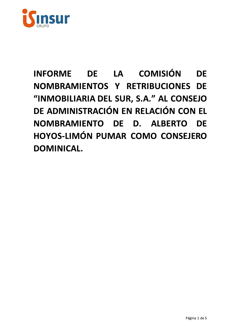

# DE LA COMISIÓN **INFORME DF** NOMBRAMIENTOS Y RETRIBUCIONES DE "INMOBILIARIA DEL SUR, S.A." AL CONSEJO DE ADMINISTRACIÓN EN RELACIÓN CON EL NOMBRAMIENTO DE D. ALBERTO DE HOYOS-LIMÓN PUMAR COMO CONSEJERO **DOMINICAL.**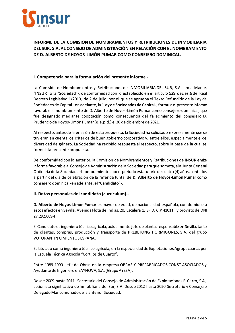

## INFORME DE LA COMISIÓN DE NOMBRAMIENTOS Y RETRIBUCIONES DE INMOBILIARIA DEL SUR, S.A. AL CONSEJO DE ADMINISTRACIÓN EN RELACIÓN CON EL NOMBRAMIENTO DE D. ALBERTO DE HOYOS-LIMÓN PUMAR COMO CONSEJERO DOMINICAL.

INFORME DE LA COMISIÓN DE NOMBRAMIENTOS Y RETRIBUCIONES<br>DEL SUR, S.A. AL CONSEJO DE ADMINISTRACIÓN EN RELACIÓN CON EL<br>DE D. ALBERTO DE HOYOS-LIMÓN PUMAR COMO CONSEJERO DOMINI<br>I. Competencia para la formulación del presente La Comisión de Nombramientos y Retribuciones de INMOBILIARIA DEL SUR, S.A. -en adelante, "INSUR" o la "Sociedad"-, de conformidad con lo establecido en el artículo 529 decies.6 del Real Decreto Legislativo 1/2010, de 2 de julio, por el que se aprueba el Texto Refundido de la Ley de Sociedades de Capital ―en adelante, la "**Ley de Sociedades de Capital**-, formula el presente informe ia para la formulación del presente informe.-<br>
e Nombramientos y Retribuciones de INMOBILIARIA DEL SUR, S.A. -en ac<br> **Sociedad"-**, de conformidad con lo establecido en el artículo 529 decies.6 c<br>
ativo 1/2010, de 2 de juli favorable al nombramiento de D. Alberto de Hoyos-Limon Pumar como consejero dominical, que fue designado mediante cooptación como consecuencia del fallecimiento del consejero D. Prudencio de Hoyos-Limon Pumar (q.e.p.d.) el 30 de diciembre de 2021.

Al respecto, antes de la emisión de esta propuesta, la Sociedad ha solicitado expresamente que se  $\tt{tuvier}$ an en cuenta los criterios de buen gobierno corporativo y, entre ellos, especialmente el de diversidad de genero. La Sociedad ha recibido respuesta al respecto, sobre la base de la cual se formula la presente propuesta.

De conformidad con lo anterior, la Comisión de Nombramientos y Retribuciones de INSUR emite informe favorable al Consejo de Administración de la Sociedad para que someta, a la Junta General Ordinaria de la Sociedad, el nombramiento, por el periodo estatutario de cuatro (4) anos, contados a partir del día de celebración de la referida Junta, de l n gobierno corporativo y, entre ellos, especialmente el de<br>ecibido respuesta al respecto, sobre la base de la cual se<br>nisión de Nombramientos y Retribuciones de INSUR emite<br>stración de la Sociedad para que someta, a la Jun consejero dominical -en adelante, el <mark>i</mark> o. La Sociedad ha recibido respuesta al respecto,<br>oropuesta.<br>lo anterior, la Comisión de Nombramientos y Ret<br>Consejo de Administración de la Sociedad para que<br>dad, el nombramiento, por el periodo estatutario d<br>elebración d formula la presente propuesta.<br>
De conformidad con lo anterior, la Comisión de Nombramien<br>
informe favorable al Consejo de Administración de la Sociedad<br>
Ordinaria de la Sociedad, el nombramiento, por el periodo esta<br>
a pa informe favorable al Consejo de Admir<br>Ordinaria de la Sociedad, el nombramia<br>a partir del día de celebración de la reconsejero dominical -en adelante, el "C<br>II. Datos personales del candidato<br>D. Alberto de Hoyos-Limón Puma

s mayor de edad, de nacionalidad espanola, con domícillo a estos efectos en Sevilla, Avenida Flota de Indias, 20, Escalera 1, 8º D, C.P 41011; y provisto de DNI 27.292.669-H.

El Candidato es ingeniero tecnico agricola, actualmente jefe de planta, responsable en Sevilla, tanto de clientes, compras, producción y transporte de PREBETONG HORMIGONES, S.A. del grupo VOTORANTIN CIMIENTOS ESPANA.

Es títulado como ingeniero tecnico agrícola, en la especialidad de Explotaciones Agropecuarias por la Escuela Técnica Agrícola "Cortijos de Cuarto".

Entre 1989-1990 Jefe de Obras en la empresa OBRAS Y PREFABRICADOS CONST ASOCIADOS y Ayudante de Ingeniero en AYNOVA, S.A. (Grupo AYESA).

Desde 2009 hasta 2011, Secretario del Consejo de Administración de Explotaciones El Cerro, S.A., accionista significativo de Inmobiliaria del Sur, S.A. Desde 2012 hasta 2020 Secretario y Consejero Delegado Mancomunado de la anterior Sociedad.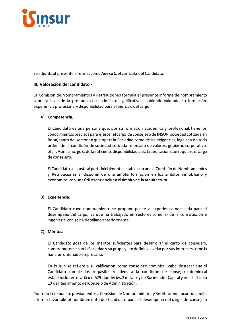

Se adjunta al presente informe, como Anexo 1, el currículo del Candidato.

### III. Valoración del candidato.-

La Comisión de Nombramientos y Retribuciones formula el presente informe de nombramiento sobre la base de la propuesta de accionistas significativos, habiendo valorado su formación, experiencia profesional y disponibilidad para el ejercicio del cargo.

#### A) Competencia.

El Candidato es una persona que, por su formación académica y profesional, tiene los conocimientos precisos para ejercer el cargo de consejero de INSUR, sociedad cotizada en Bolsa, tanto del sector en que opera la Sociedad como de las exigencias, legales y de todo orden, de la condición de sociedad cotizada -mercado de valores, gobierno corporativo, etc.-. Asimismo, goza de la suficiente disponibilidad para la dedicación que requiere el cargo de consejero.

El Candidato se ajusta al perfilinicialmente establecido por la Comisión de Nombramientos y Retribuciones al disponer de una amplia formación en los ámbitos inmobiliario y económico, con una útil experiencia en el ámbito de la arquitectura.

#### B) Experiencia.

El Candidato cuyo nombramiento se propone posee la experiencia necesaria para el desempeño del cargo, ya que ha trabajado en sectores como el de la construcción e ingeniería, con se ha detallado anteriormente.

#### C) Méritos.

El Candidato goza de los méritos suficientes para desarrollar el cargo de consejero, comprometerse con la Sociedad y su grupo y, en definitiva, velar por sus intereses como lo haría un ordenado empresario.

En lo que se refiere a su calificación como consejero dominical, cabe destacar que el Candidato cumple los requisitos relativos a la condición de consejero dominical establecidos en el artículo 529 duodecies.3 de la Ley de Sociedades Capital y en el artículo 10 del Reglamento del Consejo de Administración.

Por todo lo expuesto previamente, la Comisión de Nombramientos y Retribuciones acuerda emitir informe favorable al nombramiento del Candidato para el desempeño del cargo de consejero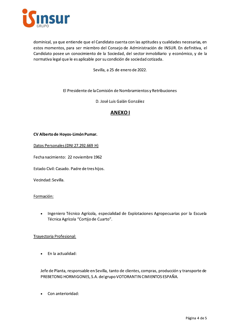

dominical, ya que entiende que el Candidato cuenta con las aptitudes y cualidades necesarias, en estos momentos, para ser miembro del Consejo de Administración de INSUR. En definitiva, el Candidato posee un conocimiento de la Sociedad, del sector inmobiliario y económico, y de la normativa legal que le es aplicable por su condición de sociedad cotizada.

Sevilla, a 25 de enero de 2022.

El Presidente de la Comisión de Nombramientos y Retribuciones

D. José Luis Galán González

# **ANEXOI**

#### CV Alberto de Hoyos-Limón Pumar.

Datos Personales (DNI 27.292.669 H)

Fecha nacimiento: 22 noviembre 1962

Estado Civil: Casado. Padre de tres hijos.

Vecindad: Sevilla.

#### Formación:

Ingeniero Técnico Agrícola, especialidad de Explotaciones Agropecuarias por la Escuela  $\bullet$ Técnica Agrícola "Cortijo de Cuarto".

#### Trayectoria Profesional:

En la actualidad:  $\bullet$ 

Jefe de Planta, responsable en Sevilla, tanto de clientes, compras, producción y transporte de PREBETONG HORMIGONES, S.A. delgrupo VOTORANTIN CIMIENTOS ESPAÑA.

Con anterioridad: